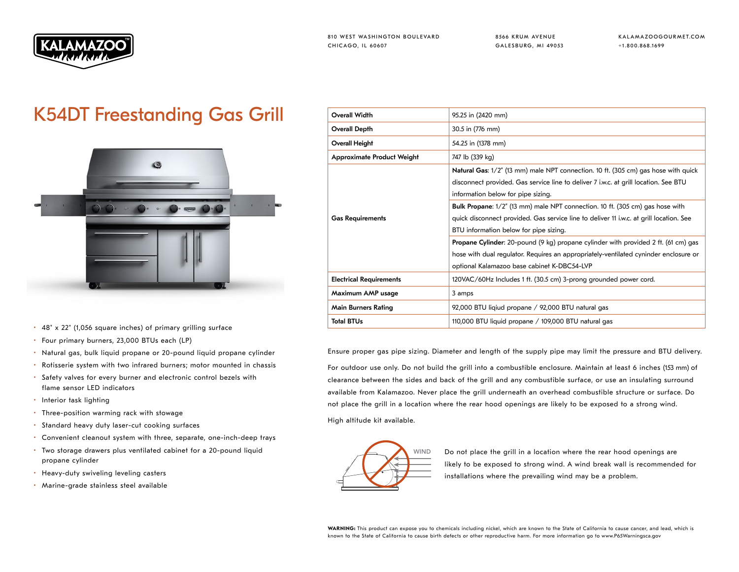

8566 KRUM AVENUE GALESBURG, MI 49053 KALAMAZOOGOURMET.COM +1.800.868.1699

## K54DT Freestanding Gas Grill



- 48" x 22" (1,056 square inches) of primary grilling surface
- Four primary burners, 23,000 BTUs each (LP)
- Natural gas, bulk liquid propane or 20-pound liquid propane cylinder
- Rotisserie system with two infrared burners; motor mounted in chassis
- Safety valves for every burner and electronic control bezels with flame sensor LED indicators
- Interior task lighting
- Three-position warming rack with stowage
- Standard heavy duty laser-cut cooking surfaces
- Convenient cleanout system with three, separate, one-inch-deep trays
- Two storage drawers plus ventilated cabinet for a 20-pound liquid propane cylinder
- Heavy-duty swiveling leveling casters
- Marine-grade stainless steel available

| <b>Overall Width</b>              | 95.25 in (2420 mm)                                                                        |
|-----------------------------------|-------------------------------------------------------------------------------------------|
| <b>Overall Depth</b>              | 30.5 in (776 mm)                                                                          |
| Overall Height                    | 54.25 in (1378 mm)                                                                        |
| <b>Approximate Product Weight</b> | 747 lb (339 kg)                                                                           |
| <b>Gas Requirements</b>           | Natural Gas: 1/2" (13 mm) male NPT connection. 10 ft. (305 cm) gas hose with quick        |
|                                   | disconnect provided. Gas service line to deliver 7 i.w.c. at grill location. See BTU      |
|                                   | information below for pipe sizing.                                                        |
|                                   | Bulk Propane: 1/2" (13 mm) male NPT connection. 10 ft. (305 cm) gas hose with             |
|                                   | quick disconnect provided. Gas service line to deliver 11 i.w.c. at grill location. See   |
|                                   | BTU information below for pipe sizing.                                                    |
|                                   | <b>Propane Cylinder:</b> 20-pound (9 kg) propane cylinder with provided 2 ft. (61 cm) gas |
|                                   | hose with dual regulator. Requires an appropriately-ventilated cyninder enclosure or      |
|                                   | optional Kalamazoo base cabinet K-DBC54-LVP                                               |
| <b>Electrical Requirements</b>    | 120VAC/60Hz Includes 1 ft. (30.5 cm) 3-prong grounded power cord.                         |
| Maximum AMP usage                 | 3 amps                                                                                    |
| <b>Main Burners Rating</b>        | 92,000 BTU liqiud propane / 92,000 BTU natural gas                                        |
| <b>Total BTUs</b>                 | 110,000 BTU liquid propane / 109,000 BTU natural gas                                      |

Ensure proper gas pipe sizing. Diameter and length of the supply pipe may limit the pressure and BTU delivery.

For outdoor use only. Do not build the grill into a combustible enclosure. Maintain at least 6 inches (153 mm) of clearance between the sides and back of the grill and any combustible surface, or use an insulating surround available from Kalamazoo. Never place the grill underneath an overhead combustible structure or surface. Do not place the grill in a location where the rear hood openings are likely to be exposed to a strong wind. High altitude kit available.



WIND Do not place the grill in a location where the rear hood openings are likely to be exposed to strong wind. A wind break wall is recommended for installations where the prevailing wind may be a problem.

WARNING: This product can expose you to chemicals including nickel, which are known to the State of California to cause cancer, and lead, which is known to the State of California to cause birth defects or other reproductive harm. For more information go to www.P65Warningsca.gov